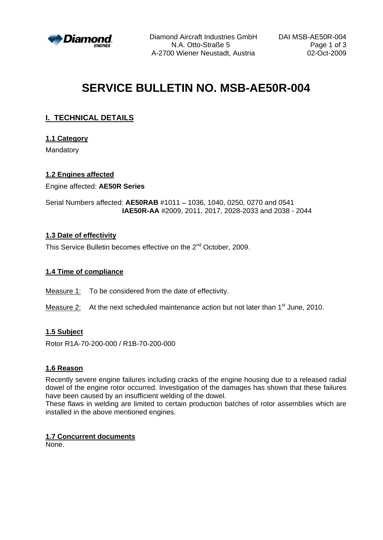

Diamond Aircraft Industries GmbH DAI MSB-AE50R-004 N.A. Otto-Straße 5 Page 1 of 3 A-2700 Wiener Neustadt, Austria 02-Oct-2009

# **SERVICE BULLETIN NO. MSB-AE50R-004**

## **I. TECHNICAL DETAILS**

## **1.1 Category**

Mandatory

## **1.2 Engines affected**

Engine affected: **AE50R Series**

Serial Numbers affected: **AE50RAB** #1011 - 1036, 1040, 0250, 0270 and 0541 **IAE50R-AA** #2009, 2011, 2017, 2028-2033 and 2038 - 2044

## **1.3 Date of effectivity**

This Service Bulletin becomes effective on the 2<sup>nd</sup> October, 2009. <sup>nd</sup> October, 2009.

## **1.4 Time of compliance**

Measure 1: To be considered from the date of effectivity.

Measure 2: At the next scheduled maintenance action but not later than 1<sup>st</sup> June, 2010.

## **1.5 Subject**

Rotor R1A-70-200-000 / R1B-70-200-000

### **1.6 Reason**

Recently severe engine failures including cracks of the engine housing due to a released radial dowel of the engine rotor occurred. Investigation of the damages has shown that these failures have been caused by an insufficient welding of the dowel.

These flaws in welding are limited to certain production batches of rotor assemblies which are installed in the above mentioned engines.

### **1.7 Concurrent documents**

None.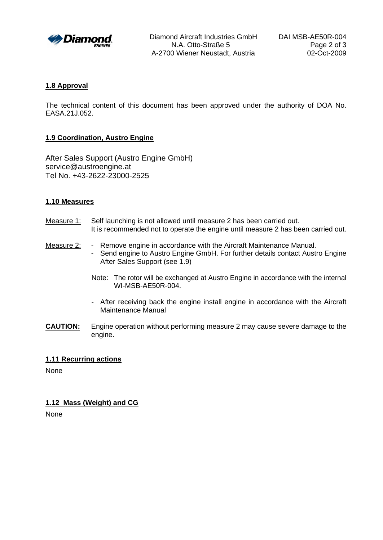

Diamond Aircraft Industries GmbH DAI MSB-AE50R-004 N.A. Otto-Straße 5 Page 2 of 3 A-2700 Wiener Neustadt, Austria 02-Oct-2009

#### **1.8 Approval**

The technical content of this document has been approved under the authority of DOA No. EASA.21J.052.

#### **1.9 Coordination, Austro Engine**

After Sales Support (Austro Engine GmbH) service@austroengine.at Tel No. +43-2622-23000-2525

#### **1.10 Measures**

- Measure 1: Self launching is not allowed until measure 2 has been carried out. It is recommended not to operate the engine until measure 2 has been carried out.
- Measure 2: Remove engine in accordance with the Aircraft Maintenance Manual. - Send engine to Austro Engine GmbH. For further details contact Austro Engine After Sales Support (see 1.9)
	- Note: The rotor will be exchanged at Austro Engine in accordance with the internal WI-MSB-AE50R-004.
	- After receiving back the engine install engine in accordance with the Aircraft Maintenance Manual
- **CAUTION:** Engine operation without performing measure 2 may cause severe damage to the engine.

#### **1.11 Recurring actions**

None

#### **1.12 Mass (Weight) and CG**

None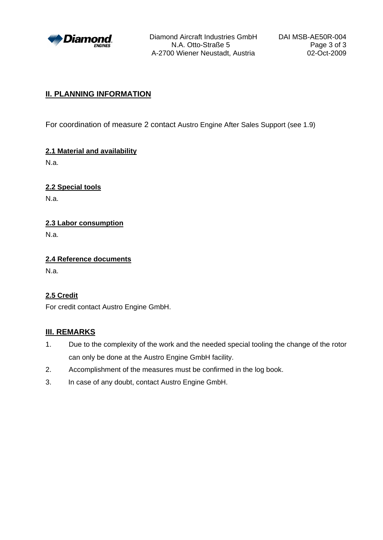

Diamond Aircraft Industries GmbH DAI MSB-AE50R-004 N.A. Otto-Straße 5 Page 3 of 3 A-2700 Wiener Neustadt, Austria 02-Oct-2009

## **II. PLANNING INFORMATION**

For coordination of measure 2 contact Austro Engine After Sales Support (see 1.9)

**2.1 Material and availability** N.a.

**2.2 Special tools**

N.a.

**2.3 Labor consumption**

N.a.

**2.4 Reference documents** N.a.

## **2.5 Credit**

For credit contact Austro Engine GmbH.

## **III. REMARKS**

- 1. Due to the complexity of the work and the needed special tooling the change of the rotor can only be done at the Austro Engine GmbH facility.
- 2. Accomplishment of the measures must be confirmed in the log book.
- 3. In case of any doubt, contact Austro Engine GmbH.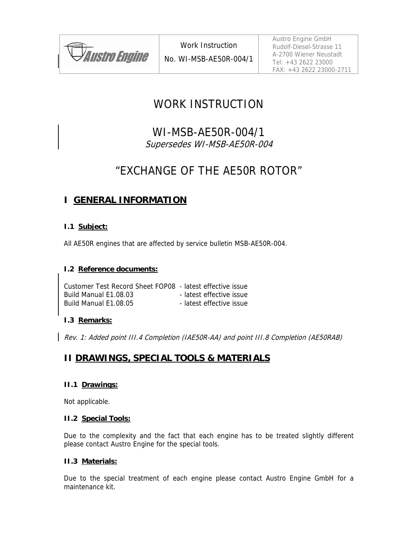

# WORK INSTRUCTION

WI-MSB-AE50R-004/1 Supersedes WI-MSB-AE50R-004

# "EXCHANGE OF THE AE50R ROTOR"

## **I GENERAL INFORMATION**

## **I.1 Subject:**

All AE50R engines that are affected by service bulletin MSB-AE50R-004.

## **I.2 Reference documents:**

Customer Test Record Sheet FOP08 - latest effective issue Build Manual E1.08.03 - latest effective issue Build Manual E1.08.05 - latest effective issue

## **I.3 Remarks:**

Rev. 1: Added point III.4 Completion (IAE50R-AA) and point III.8 Completion (AE50RAB)

## **II DRAWINGS, SPECIAL TOOLS & MATERIALS**

## **II.1 Drawings:**

Not applicable.

### **II.2 Special Tools:**

Due to the complexity and the fact that each engine has to be treated slightly different please contact Austro Engine for the special tools.

## **II.3 Materials:**

Due to the special treatment of each engine please contact Austro Engine GmbH for a maintenance kit.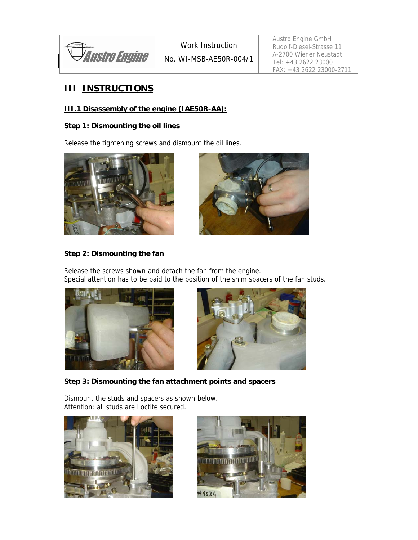

## **III INSTRUCTIONS**

## **III.1 Disassembly of the engine (IAE50R-AA):**

## **Step 1: Dismounting the oil lines**

Release the tightening screws and dismount the oil lines.





## **Step 2: Dismounting the fan**

Release the screws shown and detach the fan from the engine. Special attention has to be paid to the position of the shim spacers of the fan studs.





## **Step 3: Dismounting the fan attachment points and spacers**

Dismount the studs and spacers as shown below. Attention: all studs are Loctite secured.



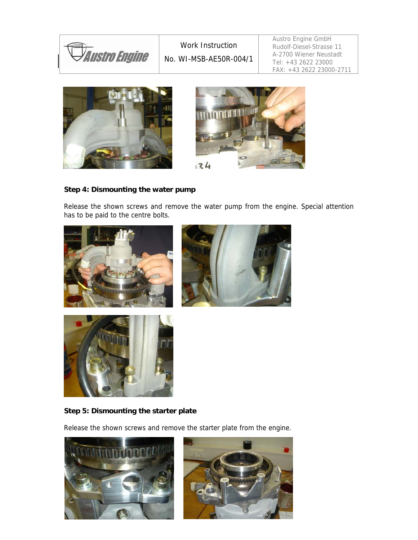





## **Step 4: Dismounting the water pump**

Release the shown screws and remove the water pump from the engine. Special attention has to be paid to the centre bolts.







## **Step 5: Dismounting the starter plate**

Release the shown screws and remove the starter plate from the engine.

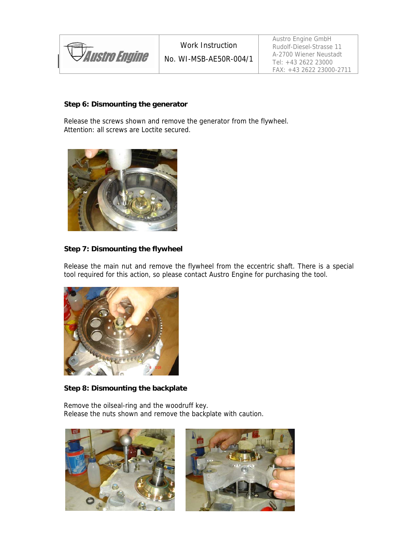| <i><b>Y Austro Engine</b></i> |
|-------------------------------|
|                               |

Austro Engine GmbH Rudolf-Diesel-Strasse 11 A-2700 Wiener Neustadt Tel: +43 2622 23000 FAX: +43 2622 23000-2711

### **Step 6: Dismounting the generator**

Release the screws shown and remove the generator from the flywheel. Attention: all screws are Loctite secured.



#### **Step 7: Dismounting the flywheel**

Release the main nut and remove the flywheel from the eccentric shaft. There is a special tool required for this action, so please contact Austro Engine for purchasing the tool.



#### **Step 8: Dismounting the backplate**

Remove the oilseal-ring and the woodruff key. Release the nuts shown and remove the backplate with caution.



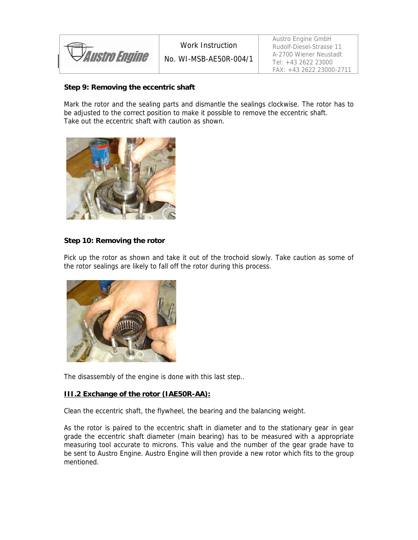| <i><b>YAustro Engine</b></i> |  |
|------------------------------|--|

No. WI-MSB-AE50R-004/1

Austro Engine GmbH Rudolf-Diesel-Strasse 11 A-2700 Wiener Neustadt Tel: +43 2622 23000 FAX: +43 2622 23000-2711

## **Step 9: Removing the eccentric shaft**

Mark the rotor and the sealing parts and dismantle the sealings clockwise. The rotor has to be adjusted to the correct position to make it possible to remove the eccentric shaft. Take out the eccentric shaft with caution as shown.



### **Step 10: Removing the rotor**

Pick up the rotor as shown and take it out of the trochoid slowly. Take caution as some of the rotor sealings are likely to fall off the rotor during this process.



The disassembly of the engine is done with this last step..

### **III.2 Exchange of the rotor (IAE50R-AA):**

Clean the eccentric shaft, the flywheel, the bearing and the balancing weight.

As the rotor is paired to the eccentric shaft in diameter and to the stationary gear in gear grade the eccentric shaft diameter (main bearing) has to be measured with a appropriate measuring tool accurate to microns. This value and the number of the gear grade have to be sent to Austro Engine. Austro Engine will then provide a new rotor which fits to the group mentioned.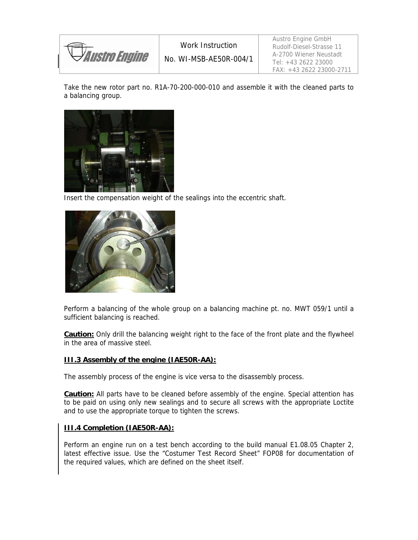*Austro Engine* 

Austro Engine GmbH Rudolf-Diesel-Strasse 11 A-2700 Wiener Neustadt Tel: +43 2622 23000 FAX: +43 2622 23000-2711

Take the new rotor part no. R1A-70-200-000-010 and assemble it with the cleaned parts to a balancing group.



Insert the compensation weight of the sealings into the eccentric shaft.



Perform a balancing of the whole group on a balancing machine pt. no. MWT 059/1 until a sufficient balancing is reached.

**Caution:** Only drill the balancing weight right to the face of the front plate and the flywheel in the area of massive steel.

#### **III.3 Assembly of the engine (IAE50R-AA):**

The assembly process of the engine is vice versa to the disassembly process.

**Caution:** All parts have to be cleaned before assembly of the engine. Special attention has to be paid on using only new sealings and to secure all screws with the appropriate Loctite and to use the appropriate torque to tighten the screws.

### **III.4 Completion (IAE50R-AA):**

Perform an engine run on a test bench according to the build manual E1.08.05 Chapter 2, latest effective issue. Use the "Costumer Test Record Sheet" FOP08 for documentation of the required values, which are defined on the sheet itself.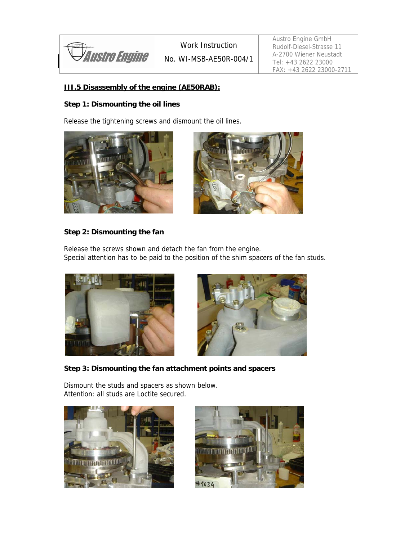

## **III.5 Disassembly of the engine (AE50RAB):**

## **Step 1: Dismounting the oil lines**

Release the tightening screws and dismount the oil lines.





## **Step 2: Dismounting the fan**

Release the screws shown and detach the fan from the engine. Special attention has to be paid to the position of the shim spacers of the fan studs.





**Step 3: Dismounting the fan attachment points and spacers** 

Dismount the studs and spacers as shown below. Attention: all studs are Loctite secured.



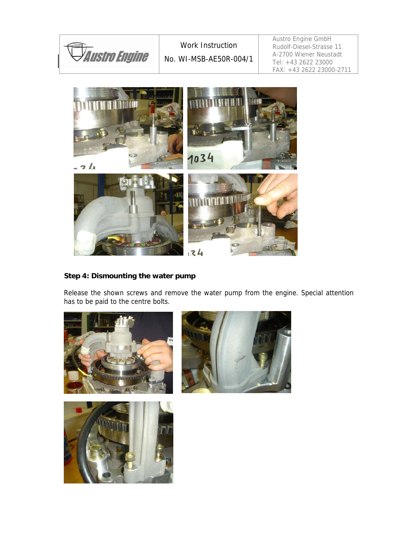

## **Step 4: Dismounting the water pump**

Release the shown screws and remove the water pump from the engine. Special attention has to be paid to the centre bolts.



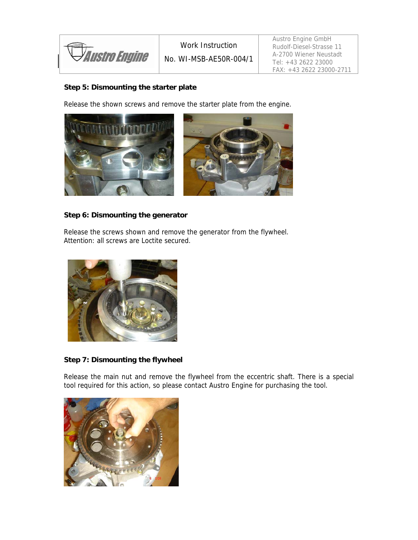*Austro Engine* 

## **Step 5: Dismounting the starter plate**

Release the shown screws and remove the starter plate from the engine.



#### **Step 6: Dismounting the generator**

Release the screws shown and remove the generator from the flywheel. Attention: all screws are Loctite secured.



### **Step 7: Dismounting the flywheel**

Release the main nut and remove the flywheel from the eccentric shaft. There is a special tool required for this action, so please contact Austro Engine for purchasing the tool.

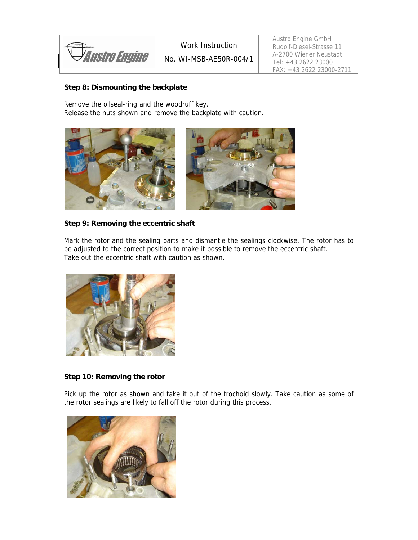*Austro Engine* 

## **Step 8: Dismounting the backplate**

Remove the oilseal-ring and the woodruff key. Release the nuts shown and remove the backplate with caution.



### **Step 9: Removing the eccentric shaft**

Mark the rotor and the sealing parts and dismantle the sealings clockwise. The rotor has to be adjusted to the correct position to make it possible to remove the eccentric shaft. Take out the eccentric shaft with caution as shown.



### **Step 10: Removing the rotor**

Pick up the rotor as shown and take it out of the trochoid slowly. Take caution as some of the rotor sealings are likely to fall off the rotor during this process.

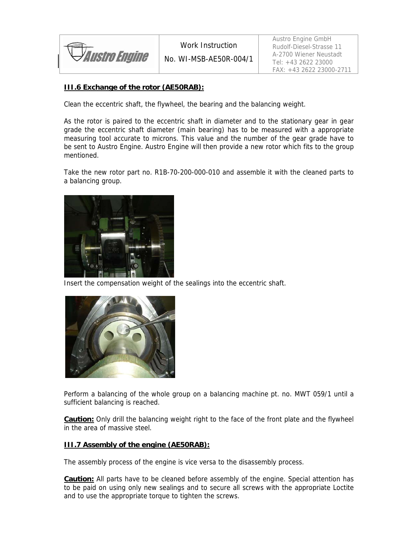*Austro Engine* 

No. WI-MSB-AE50R-004/1

## **III.6 Exchange of the rotor (AE50RAB):**

Clean the eccentric shaft, the flywheel, the bearing and the balancing weight.

As the rotor is paired to the eccentric shaft in diameter and to the stationary gear in gear grade the eccentric shaft diameter (main bearing) has to be measured with a appropriate measuring tool accurate to microns. This value and the number of the gear grade have to be sent to Austro Engine. Austro Engine will then provide a new rotor which fits to the group mentioned.

Take the new rotor part no. R1B-70-200-000-010 and assemble it with the cleaned parts to a balancing group.



Insert the compensation weight of the sealings into the eccentric shaft.



Perform a balancing of the whole group on a balancing machine pt. no. MWT 059/1 until a sufficient balancing is reached.

**Caution:** Only drill the balancing weight right to the face of the front plate and the flywheel in the area of massive steel.

#### **III.7 Assembly of the engine (AE50RAB):**

The assembly process of the engine is vice versa to the disassembly process.

**Caution:** All parts have to be cleaned before assembly of the engine. Special attention has to be paid on using only new sealings and to secure all screws with the appropriate Loctite and to use the appropriate torque to tighten the screws.